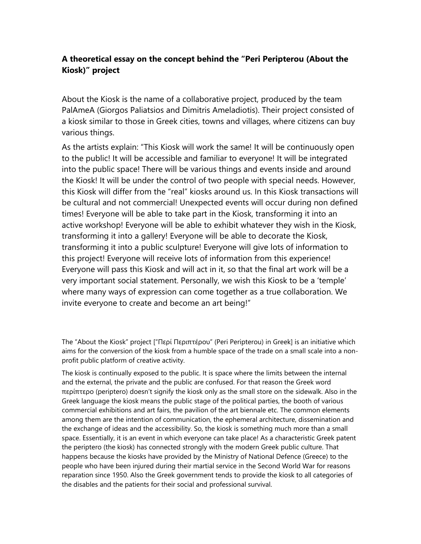## **A theoretical essay on the concept behind the "Peri Peripterou (About the Kiosk)" project**

About the Kiosk is the name of a collaborative project, produced by the team PalAmeA (Giorgos Paliatsios and Dimitris Ameladiotis). Their project consisted of a kiosk similar to those in Greek cities, towns and villages, where citizens can buy various things.

As the artists explain: "This Kiosk will work the same! It will be continuously open to the public! It will be accessible and familiar to everyone! It will be integrated into the public space! There will be various things and events inside and around the Kiosk! It will be under the control of two people with special needs. However, this Kiosk will differ from the "real" kiosks around us. In this Kiosk transactions will be cultural and not commercial! Unexpected events will occur during non defined times! Everyone will be able to take part in the Kiosk, transforming it into an active workshop! Everyone will be able to exhibit whatever they wish in the Kiosk, transforming it into a gallery! Everyone will be able to decorate the Kiosk, transforming it into a public sculpture! Everyone will give lots of information to this project! Everyone will receive lots of information from this experience! Everyone will pass this Kiosk and will act in it, so that the final art work will be a very important social statement. Personally, we wish this Kiosk to be a 'temple' where many ways of expression can come together as a true collaboration. We invite everyone to create and become an art being!"

The "About the Kiosk" project ["Περί Περιπτέρου" (Peri Peripterou) in Greek] is an initiative which aims for the conversion of the kiosk from a humble space of the trade on a small scale into a nonprofit public platform of creative activity.

The kiosk is continually exposed to the public. It is space where the limits between the internal and the external, the private and the public are confused. For that reason the Greek word περίπτερο (periptero) doesn't signify the kiosk only as the small store on the sidewalk. Also in the Greek language the kiosk means the public stage of the political parties, the booth of various commercial exhibitions and art fairs, the pavilion of the art biennale etc. The common elements among them are the intention of communication, the ephemeral architecture, dissemination and the exchange of ideas and the accessibility. So, the kiosk is something much more than a small space. Essentially, it is an event in which everyone can take place! As a characteristic Greek patent the periptero (the kiosk) has connected strongly with the modern Greek public culture. That happens because the kiosks have provided by the Ministry of National Defence (Greece) to the people who have been injured during their martial service in the Second World War for reasons reparation since 1950. Also the Greek government tends to provide the kiosk to all categories of the disables and the patients for their social and professional survival.